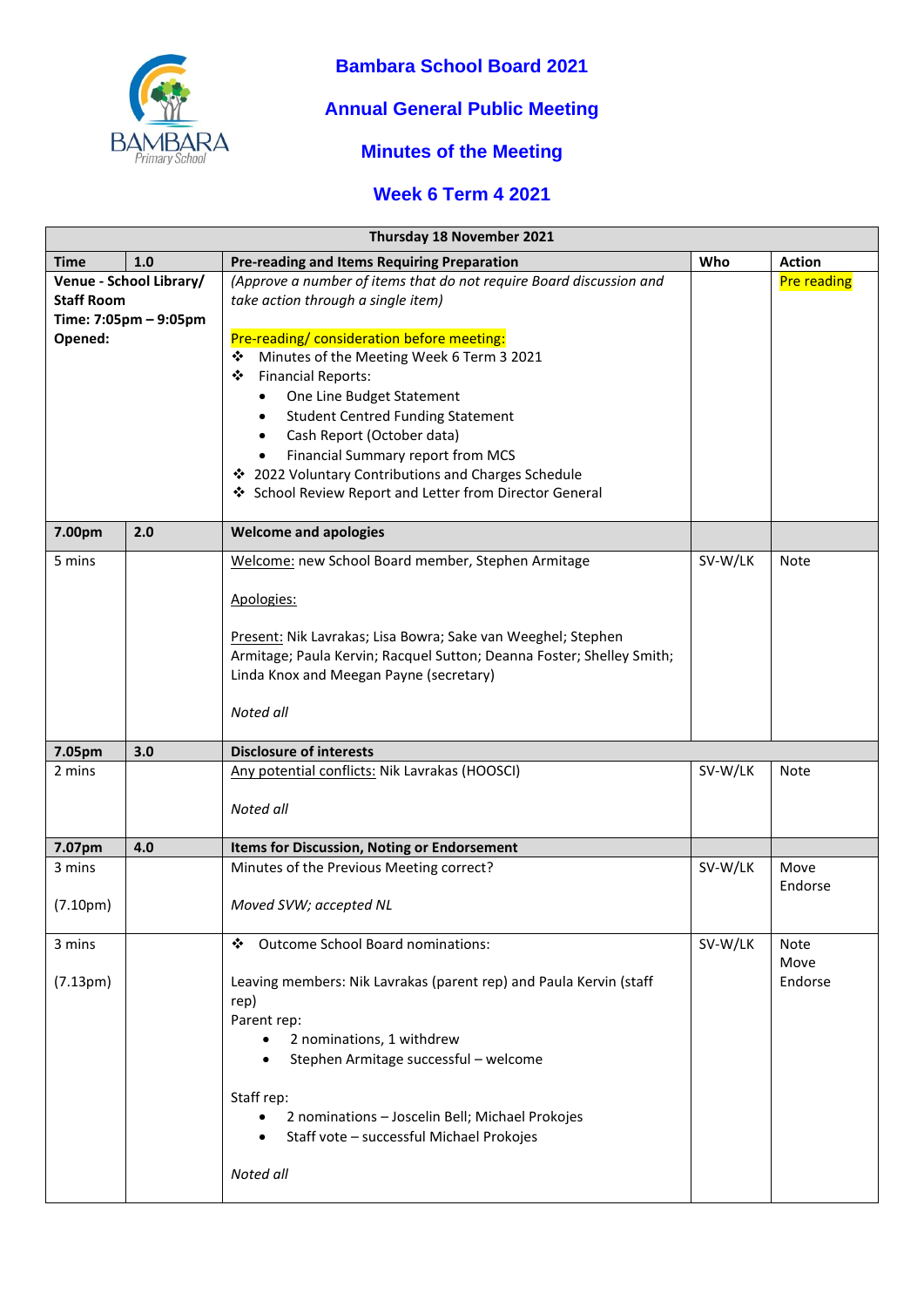

#### **Bambara School Board 2021**

## **Annual General Public Meeting**

## **Minutes of the Meeting**

#### **Week 6 Term 4 2021**

| Thursday 18 November 2021 |     |                                                                                                                |         |                    |
|---------------------------|-----|----------------------------------------------------------------------------------------------------------------|---------|--------------------|
| <b>Time</b>               | 1.0 | <b>Pre-reading and Items Requiring Preparation</b>                                                             | Who     | <b>Action</b>      |
| Venue - School Library/   |     | (Approve a number of items that do not require Board discussion and                                            |         | <b>Pre reading</b> |
| <b>Staff Room</b>         |     | take action through a single item)                                                                             |         |                    |
| Time: 7:05pm - 9:05pm     |     |                                                                                                                |         |                    |
| Opened:                   |     | Pre-reading/ consideration before meeting:                                                                     |         |                    |
|                           |     | Minutes of the Meeting Week 6 Term 3 2021<br>❖                                                                 |         |                    |
|                           |     | <b>Financial Reports:</b><br>❖                                                                                 |         |                    |
|                           |     | One Line Budget Statement<br>٠                                                                                 |         |                    |
|                           |     | <b>Student Centred Funding Statement</b><br>$\bullet$                                                          |         |                    |
|                           |     | Cash Report (October data)<br>$\bullet$                                                                        |         |                    |
|                           |     | Financial Summary report from MCS<br>$\bullet$                                                                 |         |                    |
|                           |     | ❖ 2022 Voluntary Contributions and Charges Schedule<br>❖ School Review Report and Letter from Director General |         |                    |
|                           |     |                                                                                                                |         |                    |
| 2.0<br>7.00pm             |     | <b>Welcome and apologies</b>                                                                                   |         |                    |
| 5 mins                    |     | Welcome: new School Board member, Stephen Armitage                                                             | SV-W/LK | Note               |
|                           |     |                                                                                                                |         |                    |
|                           |     | Apologies:                                                                                                     |         |                    |
|                           |     | Present: Nik Lavrakas; Lisa Bowra; Sake van Weeghel; Stephen                                                   |         |                    |
|                           |     | Armitage; Paula Kervin; Racquel Sutton; Deanna Foster; Shelley Smith;                                          |         |                    |
|                           |     | Linda Knox and Meegan Payne (secretary)                                                                        |         |                    |
|                           |     |                                                                                                                |         |                    |
|                           |     | Noted all                                                                                                      |         |                    |
| 7.05pm                    | 3.0 | <b>Disclosure of interests</b>                                                                                 |         |                    |
| 2 mins                    |     | Any potential conflicts: Nik Lavrakas (HOOSCI)                                                                 | SV-W/LK | Note               |
|                           |     |                                                                                                                |         |                    |
|                           |     | Noted all                                                                                                      |         |                    |
| 7.07pm                    | 4.0 | <b>Items for Discussion, Noting or Endorsement</b>                                                             |         |                    |
| 3 mins                    |     | Minutes of the Previous Meeting correct?                                                                       | SV-W/LK | Move               |
|                           |     |                                                                                                                |         | Endorse            |
| (7.10 <sub>pm</sub> )     |     | Moved SVW; accepted NL                                                                                         |         |                    |
|                           |     |                                                                                                                |         |                    |
| 3 mins                    |     | Outcome School Board nominations:<br>❖                                                                         | SV-W/LK | Note<br>Move       |
| (7.13 <sub>pm</sub> )     |     | Leaving members: Nik Lavrakas (parent rep) and Paula Kervin (staff                                             |         | Endorse            |
|                           |     | rep)                                                                                                           |         |                    |
|                           |     | Parent rep:                                                                                                    |         |                    |
|                           |     | 2 nominations, 1 withdrew                                                                                      |         |                    |
|                           |     | Stephen Armitage successful - welcome                                                                          |         |                    |
|                           |     |                                                                                                                |         |                    |
|                           |     | Staff rep:                                                                                                     |         |                    |
|                           |     | 2 nominations - Joscelin Bell; Michael Prokojes                                                                |         |                    |
|                           |     | Staff vote - successful Michael Prokojes                                                                       |         |                    |
|                           |     |                                                                                                                |         |                    |
|                           |     | Noted all                                                                                                      |         |                    |
|                           |     |                                                                                                                |         |                    |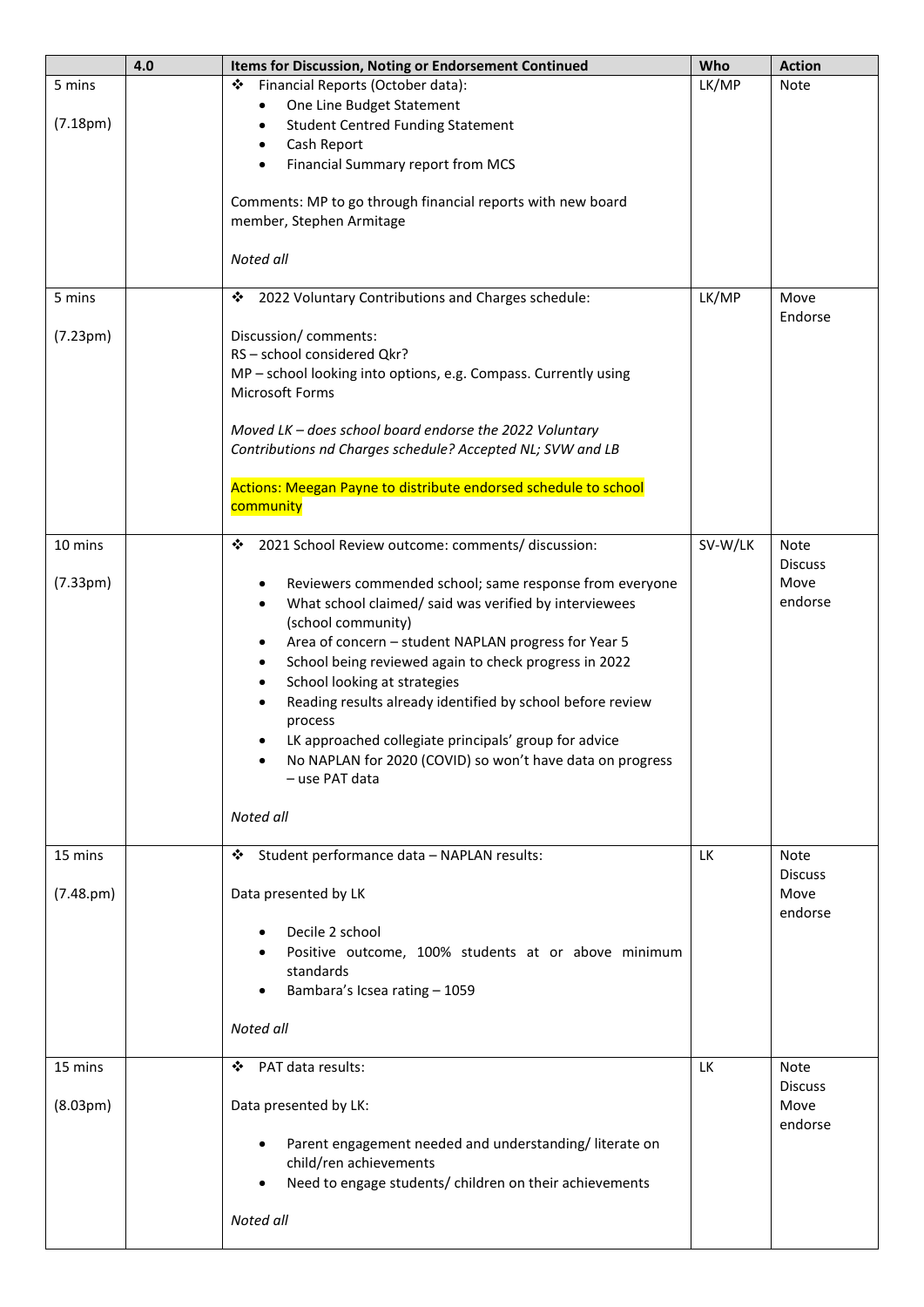|                                 | 4.0 | Items for Discussion, Noting or Endorsement Continued                                                                                                                                                                                                                                                                                                                                                                                                                                                                                                                                                          | Who       | <b>Action</b>                                    |
|---------------------------------|-----|----------------------------------------------------------------------------------------------------------------------------------------------------------------------------------------------------------------------------------------------------------------------------------------------------------------------------------------------------------------------------------------------------------------------------------------------------------------------------------------------------------------------------------------------------------------------------------------------------------------|-----------|--------------------------------------------------|
| 5 mins<br>(7.18 <sub>pm</sub> ) |     | Financial Reports (October data):<br>❖<br>One Line Budget Statement<br>$\bullet$<br><b>Student Centred Funding Statement</b><br>$\bullet$<br>Cash Report<br>$\bullet$<br>Financial Summary report from MCS<br>$\bullet$<br>Comments: MP to go through financial reports with new board<br>member, Stephen Armitage                                                                                                                                                                                                                                                                                             | LK/MP     | Note                                             |
|                                 |     | Noted all                                                                                                                                                                                                                                                                                                                                                                                                                                                                                                                                                                                                      |           |                                                  |
| 5 mins                          |     | 2022 Voluntary Contributions and Charges schedule:<br>❖                                                                                                                                                                                                                                                                                                                                                                                                                                                                                                                                                        | LK/MP     | Move<br>Endorse                                  |
| (7.23 <sub>pm</sub> )           |     | Discussion/comments:<br>RS-school considered Qkr?<br>MP - school looking into options, e.g. Compass. Currently using<br>Microsoft Forms                                                                                                                                                                                                                                                                                                                                                                                                                                                                        |           |                                                  |
|                                 |     | Moved LK - does school board endorse the 2022 Voluntary<br>Contributions nd Charges schedule? Accepted NL; SVW and LB                                                                                                                                                                                                                                                                                                                                                                                                                                                                                          |           |                                                  |
|                                 |     | Actions: Meegan Payne to distribute endorsed schedule to school<br>community                                                                                                                                                                                                                                                                                                                                                                                                                                                                                                                                   |           |                                                  |
| 10 mins                         |     | 2021 School Review outcome: comments/ discussion:<br>❖                                                                                                                                                                                                                                                                                                                                                                                                                                                                                                                                                         | SV-W/LK   | Note                                             |
| (7.33pm)                        |     | Reviewers commended school; same response from everyone<br>٠<br>What school claimed/ said was verified by interviewees<br>$\bullet$<br>(school community)<br>Area of concern - student NAPLAN progress for Year 5<br>$\bullet$<br>School being reviewed again to check progress in 2022<br>$\bullet$<br>School looking at strategies<br>$\bullet$<br>Reading results already identified by school before review<br>$\bullet$<br>process<br>LK approached collegiate principals' group for advice<br>$\bullet$<br>No NAPLAN for 2020 (COVID) so won't have data on progress<br>٠<br>- use PAT data<br>Noted all |           | <b>Discuss</b><br>Move<br>endorse                |
| 15 mins<br>(7.48. <i>pm</i> )   |     | Student performance data - NAPLAN results:<br>❖<br>Data presented by LK<br>Decile 2 school<br>Positive outcome, 100% students at or above minimum<br>standards<br>Bambara's Icsea rating - 1059<br>Noted all                                                                                                                                                                                                                                                                                                                                                                                                   | <b>LK</b> | <b>Note</b><br><b>Discuss</b><br>Move<br>endorse |
| 15 mins                         |     | PAT data results:<br>❖                                                                                                                                                                                                                                                                                                                                                                                                                                                                                                                                                                                         | LК        | <b>Note</b>                                      |
| (8.03 <sub>pm</sub> )           |     | Data presented by LK:<br>Parent engagement needed and understanding/literate on<br>$\bullet$<br>child/ren achievements<br>Need to engage students/ children on their achievements<br>Noted all                                                                                                                                                                                                                                                                                                                                                                                                                 |           | <b>Discuss</b><br>Move<br>endorse                |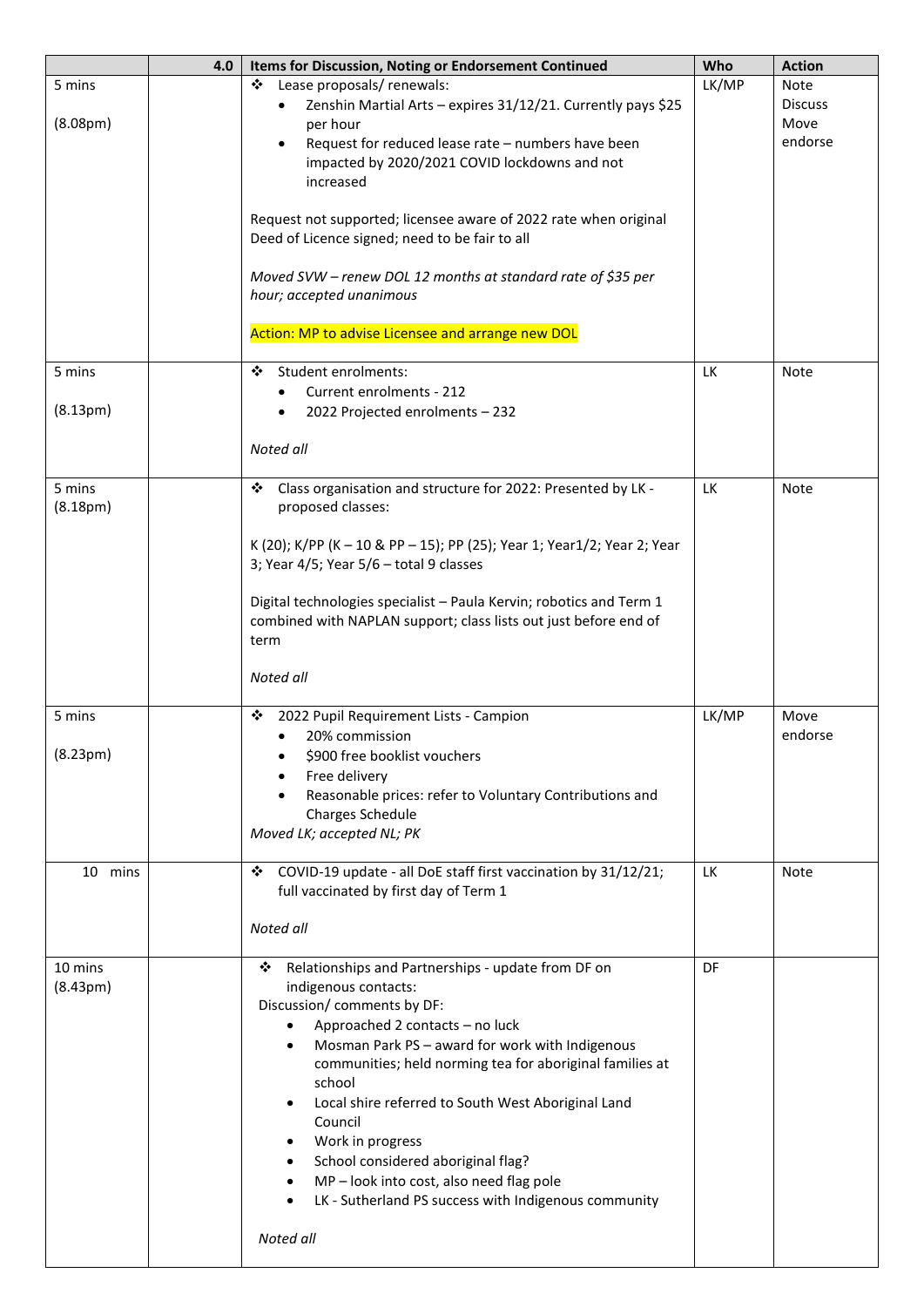|                       | 4.0 | Items for Discussion, Noting or Endorsement Continued                   | Who       | <b>Action</b>  |
|-----------------------|-----|-------------------------------------------------------------------------|-----------|----------------|
| 5 mins                |     | Lease proposals/ renewals:<br>❖                                         | LK/MP     | <b>Note</b>    |
|                       |     | Zenshin Martial Arts - expires 31/12/21. Currently pays \$25            |           | <b>Discuss</b> |
| (8.08 <sub>pm</sub> ) |     | per hour                                                                |           | Move           |
|                       |     | Request for reduced lease rate - numbers have been                      |           | endorse        |
|                       |     | impacted by 2020/2021 COVID lockdowns and not                           |           |                |
|                       |     | increased                                                               |           |                |
|                       |     |                                                                         |           |                |
|                       |     | Request not supported; licensee aware of 2022 rate when original        |           |                |
|                       |     | Deed of Licence signed; need to be fair to all                          |           |                |
|                       |     |                                                                         |           |                |
|                       |     | Moved SVW - renew DOL 12 months at standard rate of \$35 per            |           |                |
|                       |     | hour; accepted unanimous                                                |           |                |
|                       |     |                                                                         |           |                |
|                       |     | Action: MP to advise Licensee and arrange new DOL                       |           |                |
|                       |     |                                                                         |           |                |
| 5 mins                |     | Student enrolments:<br>❖                                                | LK        | Note           |
|                       |     | Current enrolments - 212<br>$\bullet$                                   |           |                |
| (8.13 <sub>pm</sub> ) |     | 2022 Projected enrolments - 232<br>$\bullet$                            |           |                |
|                       |     |                                                                         |           |                |
|                       |     | Noted all                                                               |           |                |
| 5 mins                |     | ❖<br>Class organisation and structure for 2022: Presented by LK -       | <b>LK</b> | Note           |
| (8.18 <sub>pm</sub> ) |     | proposed classes:                                                       |           |                |
|                       |     |                                                                         |           |                |
|                       |     | K (20); K/PP (K - 10 & PP - 15); PP (25); Year 1; Year1/2; Year 2; Year |           |                |
|                       |     | 3; Year 4/5; Year 5/6 - total 9 classes                                 |           |                |
|                       |     |                                                                         |           |                |
|                       |     | Digital technologies specialist - Paula Kervin; robotics and Term 1     |           |                |
|                       |     | combined with NAPLAN support; class lists out just before end of        |           |                |
|                       |     | term                                                                    |           |                |
|                       |     |                                                                         |           |                |
|                       |     | Noted all                                                               |           |                |
|                       |     |                                                                         |           |                |
| 5 mins                |     | 2022 Pupil Requirement Lists - Campion<br>❖                             | LK/MP     | Move           |
|                       |     | 20% commission<br>$\bullet$                                             |           | endorse        |
| (8.23 <sub>pm</sub> ) |     | \$900 free booklist vouchers                                            |           |                |
|                       |     | Free delivery                                                           |           |                |
|                       |     | Reasonable prices: refer to Voluntary Contributions and                 |           |                |
|                       |     | Charges Schedule                                                        |           |                |
|                       |     | Moved LK; accepted NL; PK                                               |           |                |
|                       |     |                                                                         |           |                |
| 10 mins               |     | COVID-19 update - all DoE staff first vaccination by 31/12/21;<br>❖     | LK        | Note           |
|                       |     | full vaccinated by first day of Term 1                                  |           |                |
|                       |     | Noted all                                                               |           |                |
|                       |     |                                                                         |           |                |
| 10 mins               |     | Relationships and Partnerships - update from DF on<br>❖                 | <b>DF</b> |                |
| (8.43 <sub>pm</sub> ) |     | indigenous contacts:                                                    |           |                |
|                       |     | Discussion/ comments by DF:                                             |           |                |
|                       |     | Approached 2 contacts - no luck<br>$\bullet$                            |           |                |
|                       |     | Mosman Park PS - award for work with Indigenous<br>$\bullet$            |           |                |
|                       |     | communities; held norming tea for aboriginal families at                |           |                |
|                       |     | school                                                                  |           |                |
|                       |     | Local shire referred to South West Aboriginal Land                      |           |                |
|                       |     | Council                                                                 |           |                |
|                       |     | Work in progress                                                        |           |                |
|                       |     | School considered aboriginal flag?                                      |           |                |
|                       |     | MP - look into cost, also need flag pole<br>$\bullet$                   |           |                |
|                       |     | LK - Sutherland PS success with Indigenous community                    |           |                |
|                       |     |                                                                         |           |                |
|                       |     | Noted all                                                               |           |                |
|                       |     |                                                                         |           |                |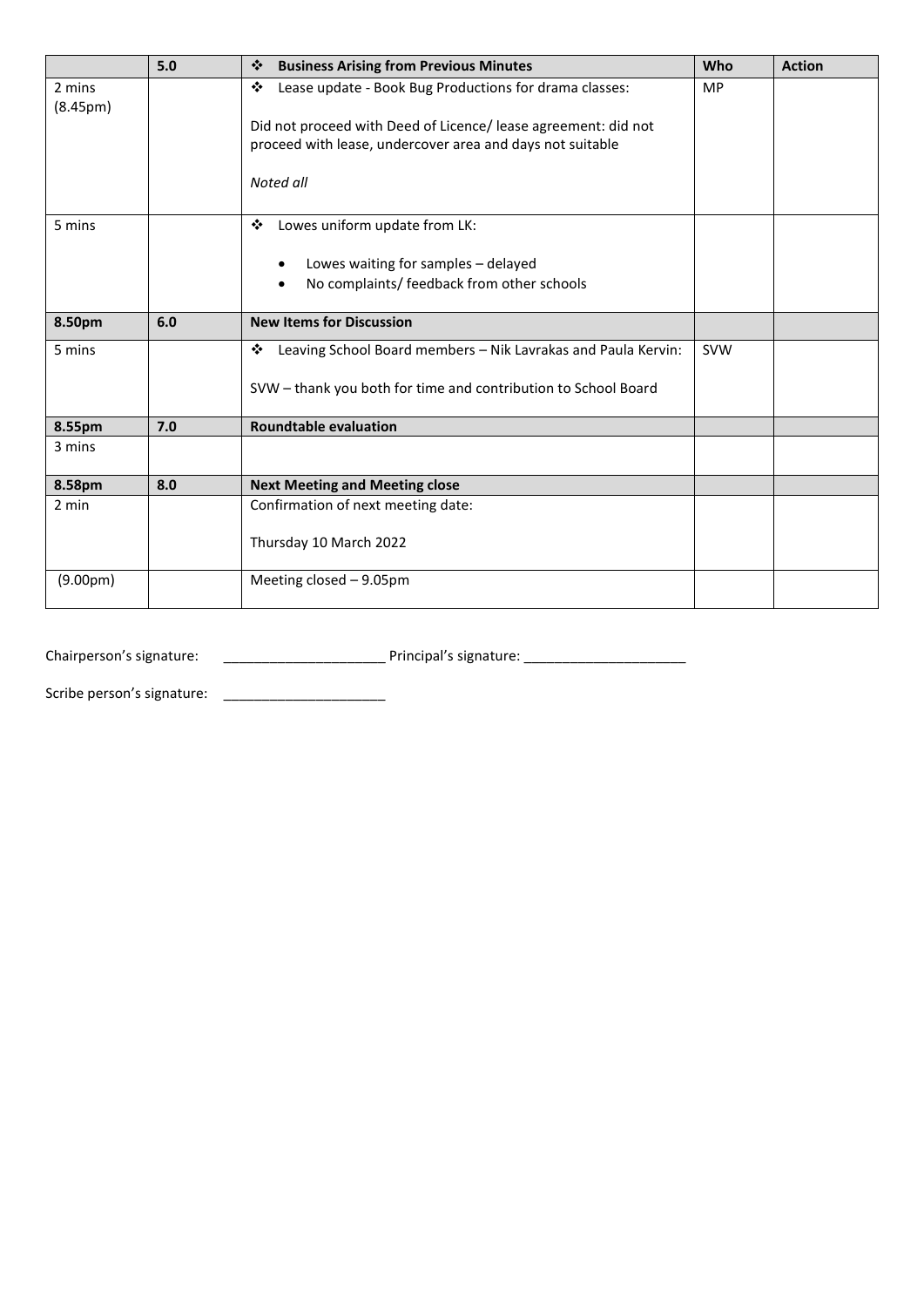|                       | 5.0 | ❖<br><b>Business Arising from Previous Minutes</b>                                                                          |            | <b>Action</b> |
|-----------------------|-----|-----------------------------------------------------------------------------------------------------------------------------|------------|---------------|
| 2 mins                |     | Lease update - Book Bug Productions for drama classes:<br>❖                                                                 |            |               |
| (8.45 <sub>pm</sub> ) |     |                                                                                                                             |            |               |
|                       |     | Did not proceed with Deed of Licence/ lease agreement: did not<br>proceed with lease, undercover area and days not suitable |            |               |
|                       |     |                                                                                                                             |            |               |
|                       |     | Noted all                                                                                                                   |            |               |
|                       |     |                                                                                                                             |            |               |
| 5 mins                |     | Lowes uniform update from LK:<br>❖                                                                                          |            |               |
|                       |     |                                                                                                                             |            |               |
|                       |     | Lowes waiting for samples - delayed                                                                                         |            |               |
|                       |     | No complaints/ feedback from other schools                                                                                  |            |               |
| 8.50pm                | 6.0 | <b>New Items for Discussion</b>                                                                                             |            |               |
| 5 mins                |     | Leaving School Board members - Nik Lavrakas and Paula Kervin:<br>❖                                                          | <b>SVW</b> |               |
|                       |     |                                                                                                                             |            |               |
|                       |     | SVW - thank you both for time and contribution to School Board                                                              |            |               |
|                       |     |                                                                                                                             |            |               |
| 8.55pm                | 7.0 | <b>Roundtable evaluation</b>                                                                                                |            |               |
| 3 mins                |     |                                                                                                                             |            |               |
| 8.58pm                | 8.0 | <b>Next Meeting and Meeting close</b>                                                                                       |            |               |
| 2 min                 |     | Confirmation of next meeting date:                                                                                          |            |               |
|                       |     |                                                                                                                             |            |               |
|                       |     | Thursday 10 March 2022                                                                                                      |            |               |
| (9.00 <sub>pm</sub> ) |     | Meeting closed - 9.05pm                                                                                                     |            |               |
|                       |     |                                                                                                                             |            |               |

Chairperson's signature: \_\_\_\_\_\_\_\_\_\_\_\_\_\_\_\_\_\_\_\_\_ Principal's signature: \_\_\_\_\_\_\_\_\_\_\_\_\_\_\_\_\_\_\_\_\_

Scribe person's signature: \_\_\_\_\_\_\_\_\_\_\_\_\_\_\_\_\_\_\_\_\_